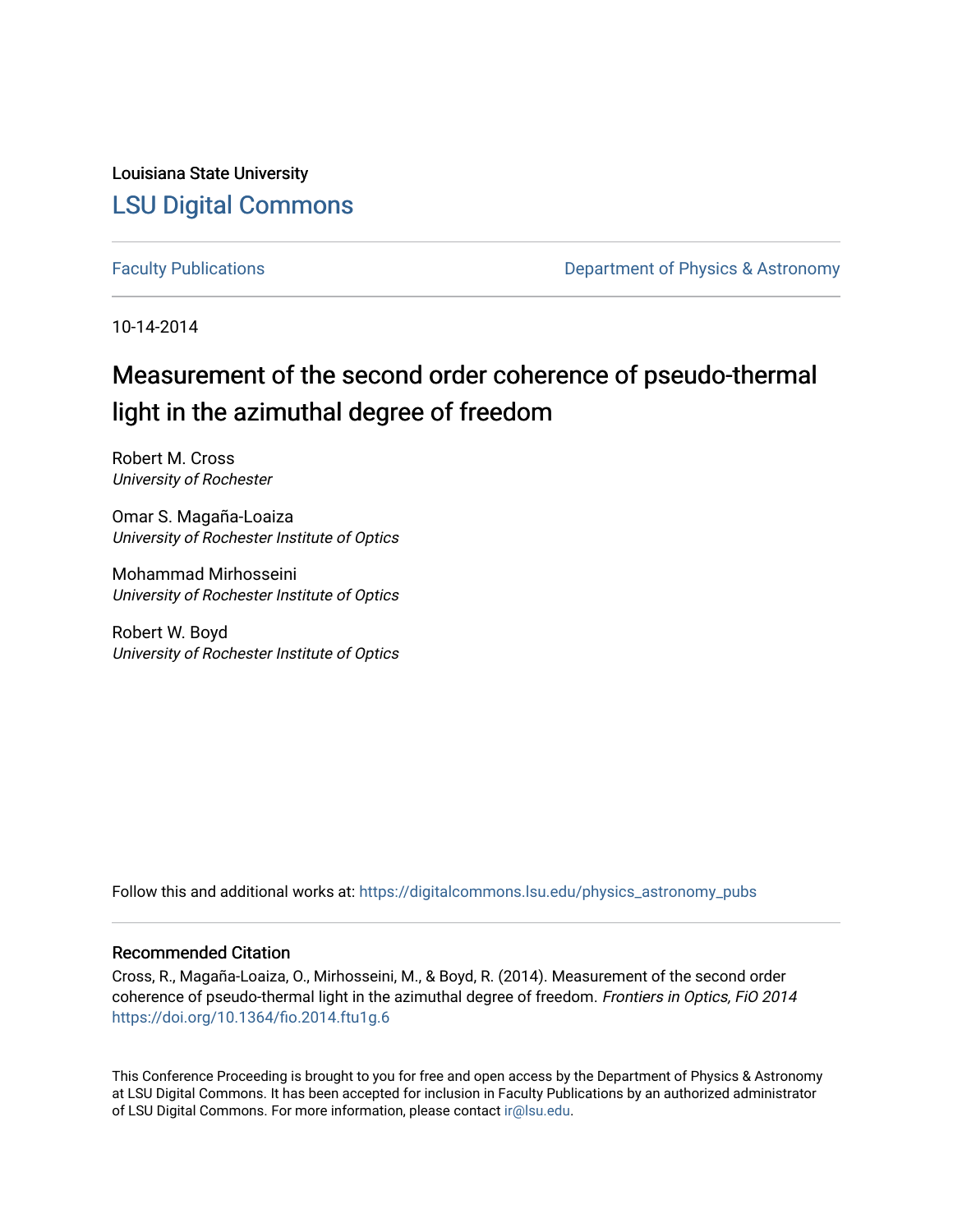Louisiana State University [LSU Digital Commons](https://digitalcommons.lsu.edu/)

[Faculty Publications](https://digitalcommons.lsu.edu/physics_astronomy_pubs) **Exercise 2 and Table 2 and Table 2 and Table 2 and Table 2 and Table 2 and Table 2 and Table 2 and Table 2 and Table 2 and Table 2 and Table 2 and Table 2 and Table 2 and Table 2 and Table 2 and Table** 

10-14-2014

# Measurement of the second order coherence of pseudo-thermal light in the azimuthal degree of freedom

Robert M. Cross University of Rochester

Omar S. Magaña-Loaiza University of Rochester Institute of Optics

Mohammad Mirhosseini University of Rochester Institute of Optics

Robert W. Boyd University of Rochester Institute of Optics

Follow this and additional works at: [https://digitalcommons.lsu.edu/physics\\_astronomy\\_pubs](https://digitalcommons.lsu.edu/physics_astronomy_pubs?utm_source=digitalcommons.lsu.edu%2Fphysics_astronomy_pubs%2F3013&utm_medium=PDF&utm_campaign=PDFCoverPages) 

### Recommended Citation

Cross, R., Magaña-Loaiza, O., Mirhosseini, M., & Boyd, R. (2014). Measurement of the second order coherence of pseudo-thermal light in the azimuthal degree of freedom. Frontiers in Optics, FiO 2014 <https://doi.org/10.1364/fio.2014.ftu1g.6>

This Conference Proceeding is brought to you for free and open access by the Department of Physics & Astronomy at LSU Digital Commons. It has been accepted for inclusion in Faculty Publications by an authorized administrator of LSU Digital Commons. For more information, please contact [ir@lsu.edu](mailto:ir@lsu.edu).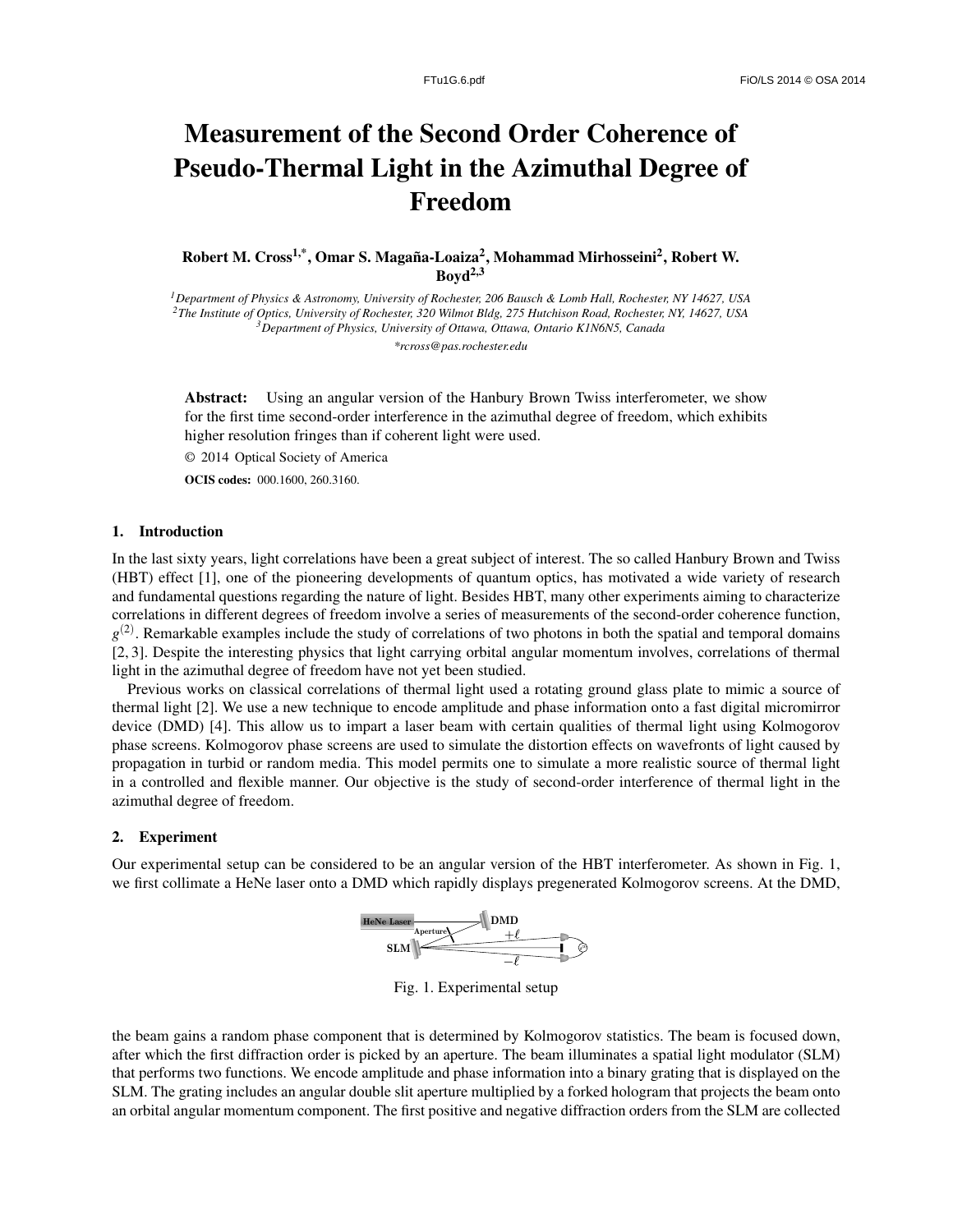## Measurement of the Second Order Coherence of Pseudo-Thermal Light in the Azimuthal Degree of Freedom

Robert M. Cross<sup>1,\*</sup>, Omar S. Magaña-Loaiza<sup>2</sup>, Mohammad Mirhosseini<sup>2</sup>, Robert W.  $Bovd<sup>2,3</sup>$ 

*Department of Physics & Astronomy, University of Rochester, 206 Bausch & Lomb Hall, Rochester, NY 14627, USA The Institute of Optics, University of Rochester, 320 Wilmot Bldg, 275 Hutchison Road, Rochester, NY, 14627, USA Department of Physics, University of Ottawa, Ottawa, Ontario K1N6N5, Canada \*rcross@pas.rochester.edu*

Abstract: Using an angular version of the Hanbury Brown Twiss interferometer, we show for the first time second-order interference in the azimuthal degree of freedom, which exhibits higher resolution fringes than if coherent light were used.

© 2014 Optical Society of America

OCIS codes: 000.1600, 260.3160.

### 1. Introduction

In the last sixty years, light correlations have been a great subject of interest. The so called Hanbury Brown and Twiss (HBT) effect [1], one of the pioneering developments of quantum optics, has motivated a wide variety of research and fundamental questions regarding the nature of light. Besides HBT, many other experiments aiming to characterize correlations in different degrees of freedom involve a series of measurements of the second-order coherence function,  $g^{(2)}$ . Remarkable examples include the study of correlations of two photons in both the spatial and temporal domains [2, 3]. Despite the interesting physics that light carrying orbital angular momentum involves, correlations of thermal light in the azimuthal degree of freedom have not yet been studied.

Previous works on classical correlations of thermal light used a rotating ground glass plate to mimic a source of thermal light [2]. We use a new technique to encode amplitude and phase information onto a fast digital micromirror device (DMD) [4]. This allow us to impart a laser beam with certain qualities of thermal light using Kolmogorov phase screens. Kolmogorov phase screens are used to simulate the distortion effects on wavefronts of light caused by propagation in turbid or random media. This model permits one to simulate a more realistic source of thermal light in a controlled and flexible manner. Our objective is the study of second-order interference of thermal light in the azimuthal degree of freedom.

#### 2. Experiment

Our experimental setup can be considered to be an angular version of the HBT interferometer. As shown in Fig. 1, we first collimate a HeNe laser onto a DMD which rapidly displays pregenerated Kolmogorov screens. At the DMD,



Fig. 1. Experimental setup

the beam gains a random phase component that is determined by Kolmogorov statistics. The beam is focused down, after which the first diffraction order is picked by an aperture. The beam illuminates a spatial light modulator (SLM) that performs two functions. We encode amplitude and phase information into a binary grating that is displayed on the SLM. The grating includes an angular double slit aperture multiplied by a forked hologram that projects the beam onto an orbital angular momentum component. The first positive and negative diffraction orders from the SLM are collected